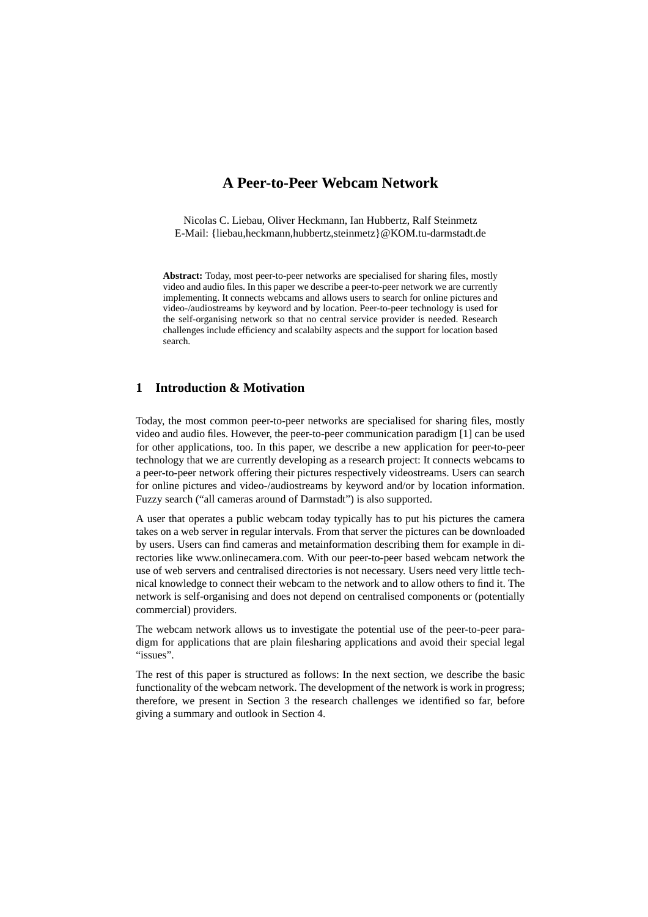# **A Peer-to-Peer Webcam Network**

Nicolas C. Liebau, Oliver Heckmann, Ian Hubbertz, Ralf Steinmetz E-Mail: {liebau,heckmann,hubbertz,steinmetz}@KOM.tu-darmstadt.de

**Abstract:** Today, most peer-to-peer networks are specialised for sharing files, mostly video and audio files. In this paper we describe a peer-to-peer network we are currently implementing. It connects webcams and allows users to search for online pictures and video-/audiostreams by keyword and by location. Peer-to-peer technology is used for the self-organising network so that no central service provider is needed. Research challenges include efficiency and scalabilty aspects and the support for location based search.

## **1 Introduction & Motivation**

Today, the most common peer-to-peer networks are specialised for sharing files, mostly video and audio files. However, the peer-to-peer communication paradigm [1] can be used for other applications, too. In this paper, we describe a new application for peer-to-peer technology that we are currently developing as a research project: It connects webcams to a peer-to-peer network offering their pictures respectively videostreams. Users can search for online pictures and video-/audiostreams by keyword and/or by location information. Fuzzy search ("all cameras around of Darmstadt") is also supported.

A user that operates a public webcam today typically has to put his pictures the camera takes on a web server in regular intervals. From that server the pictures can be downloaded by users. Users can find cameras and metainformation describing them for example in directories like www.onlinecamera.com. With our peer-to-peer based webcam network the use of web servers and centralised directories is not necessary. Users need very little technical knowledge to connect their webcam to the network and to allow others to find it. The network is self-organising and does not depend on centralised components or (potentially commercial) providers.

The webcam network allows us to investigate the potential use of the peer-to-peer paradigm for applications that are plain filesharing applications and avoid their special legal "issues".

The rest of this paper is structured as follows: In the next section, we describe the basic functionality of the webcam network. The development of the network is work in progress; therefore, we present in Section 3 the research challenges we identified so far, before giving a summary and outlook in Section 4.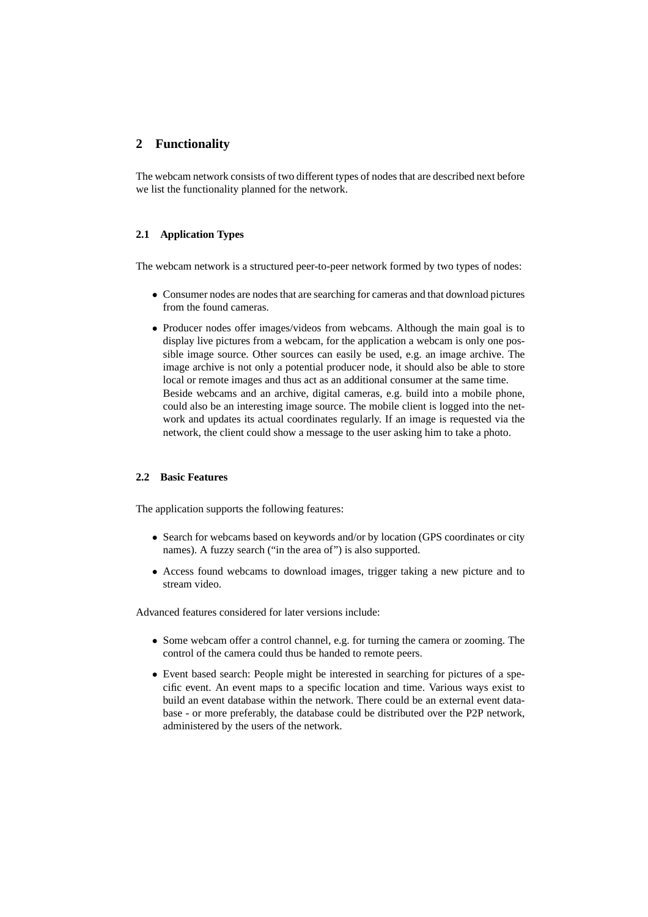# **2 Functionality**

The webcam network consists of two different types of nodes that are described next before we list the functionality planned for the network.

#### **2.1 Application Types**

The webcam network is a structured peer-to-peer network formed by two types of nodes:

- Consumer nodes are nodes that are searching for cameras and that download pictures from the found cameras.
- Producer nodes offer images/videos from webcams. Although the main goal is to display live pictures from a webcam, for the application a webcam is only one possible image source. Other sources can easily be used, e.g. an image archive. The image archive is not only a potential producer node, it should also be able to store local or remote images and thus act as an additional consumer at the same time. Beside webcams and an archive, digital cameras, e.g. build into a mobile phone, could also be an interesting image source. The mobile client is logged into the network and updates its actual coordinates regularly. If an image is requested via the network, the client could show a message to the user asking him to take a photo.

#### **2.2 Basic Features**

The application supports the following features:

- Search for webcams based on keywords and/or by location (GPS coordinates or city names). A fuzzy search ("in the area of") is also supported.
- Access found webcams to download images, trigger taking a new picture and to stream video.

Advanced features considered for later versions include:

- Some webcam offer a control channel, e.g. for turning the camera or zooming. The control of the camera could thus be handed to remote peers.
- Event based search: People might be interested in searching for pictures of a specific event. An event maps to a specific location and time. Various ways exist to build an event database within the network. There could be an external event database - or more preferably, the database could be distributed over the P2P network, administered by the users of the network.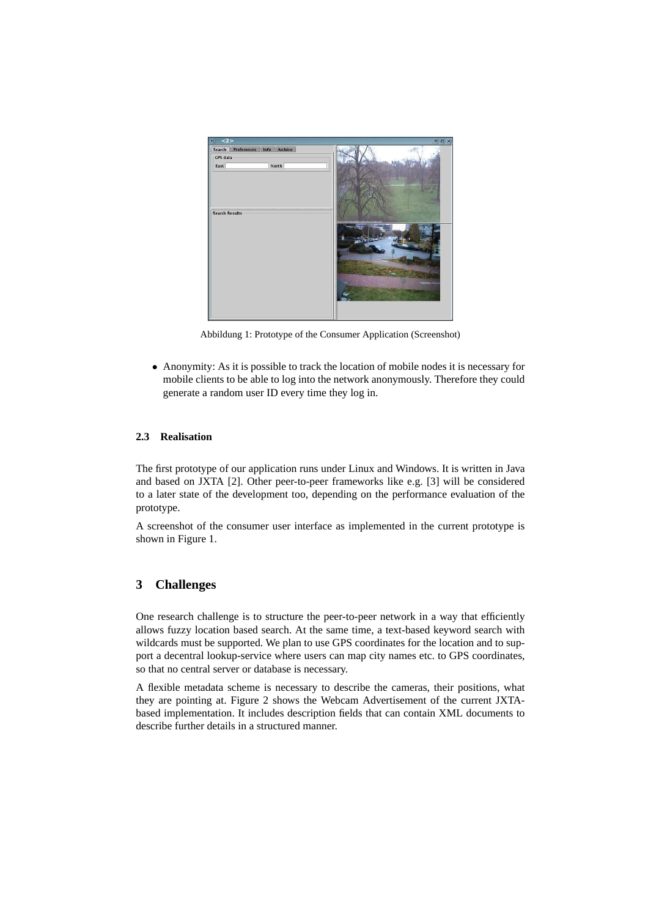

Abbildung 1: Prototype of the Consumer Application (Screenshot)

• Anonymity: As it is possible to track the location of mobile nodes it is necessary for mobile clients to be able to log into the network anonymously. Therefore they could generate a random user ID every time they log in.

#### **2.3 Realisation**

The first prototype of our application runs under Linux and Windows. It is written in Java and based on JXTA [2]. Other peer-to-peer frameworks like e.g. [3] will be considered to a later state of the development too, depending on the performance evaluation of the prototype.

A screenshot of the consumer user interface as implemented in the current prototype is shown in Figure 1.

# **3 Challenges**

One research challenge is to structure the peer-to-peer network in a way that efficiently allows fuzzy location based search. At the same time, a text-based keyword search with wildcards must be supported. We plan to use GPS coordinates for the location and to support a decentral lookup-service where users can map city names etc. to GPS coordinates, so that no central server or database is necessary.

A flexible metadata scheme is necessary to describe the cameras, their positions, what they are pointing at. Figure 2 shows the Webcam Advertisement of the current JXTAbased implementation. It includes description fields that can contain XML documents to describe further details in a structured manner.